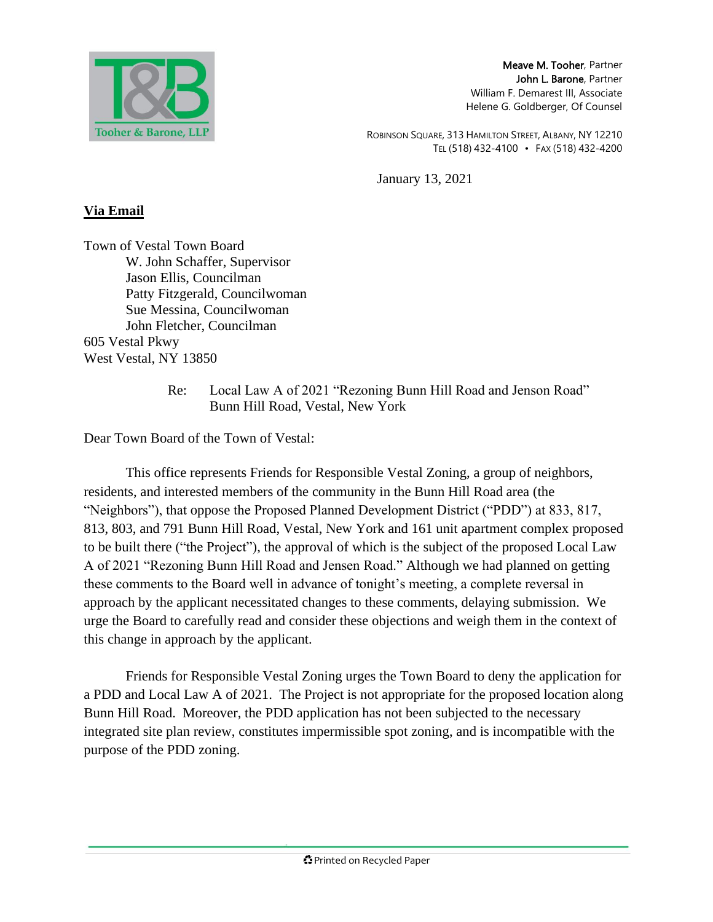

Meave M. Tooher, Partner John L. Barone, Partner William F. Demarest III, Associate Helene G. Goldberger, Of Counsel

ROBINSON SQUARE, 313 HAMILTON STREET, ALBANY, NY 12210 TEL (518) 432-4100 • FAX (518) 432-4200

January 13, 2021

## **Via Email**

Town of Vestal Town Board W. John Schaffer, Supervisor Jason Ellis, Councilman Patty Fitzgerald, Councilwoman Sue Messina, Councilwoman John Fletcher, Councilman 605 Vestal Pkwy West Vestal, NY 13850

> Re: Local Law A of 2021 "Rezoning Bunn Hill Road and Jenson Road" Bunn Hill Road, Vestal, New York

Dear Town Board of the Town of Vestal:

This office represents Friends for Responsible Vestal Zoning, a group of neighbors, residents, and interested members of the community in the Bunn Hill Road area (the "Neighbors"), that oppose the Proposed Planned Development District ("PDD") at 833, 817, 813, 803, and 791 Bunn Hill Road, Vestal, New York and 161 unit apartment complex proposed to be built there ("the Project"), the approval of which is the subject of the proposed Local Law A of 2021 "Rezoning Bunn Hill Road and Jensen Road." Although we had planned on getting these comments to the Board well in advance of tonight's meeting, a complete reversal in approach by the applicant necessitated changes to these comments, delaying submission. We urge the Board to carefully read and consider these objections and weigh them in the context of this change in approach by the applicant.

Friends for Responsible Vestal Zoning urges the Town Board to deny the application for a PDD and Local Law A of 2021. The Project is not appropriate for the proposed location along Bunn Hill Road. Moreover, the PDD application has not been subjected to the necessary integrated site plan review, constitutes impermissible spot zoning, and is incompatible with the purpose of the PDD zoning.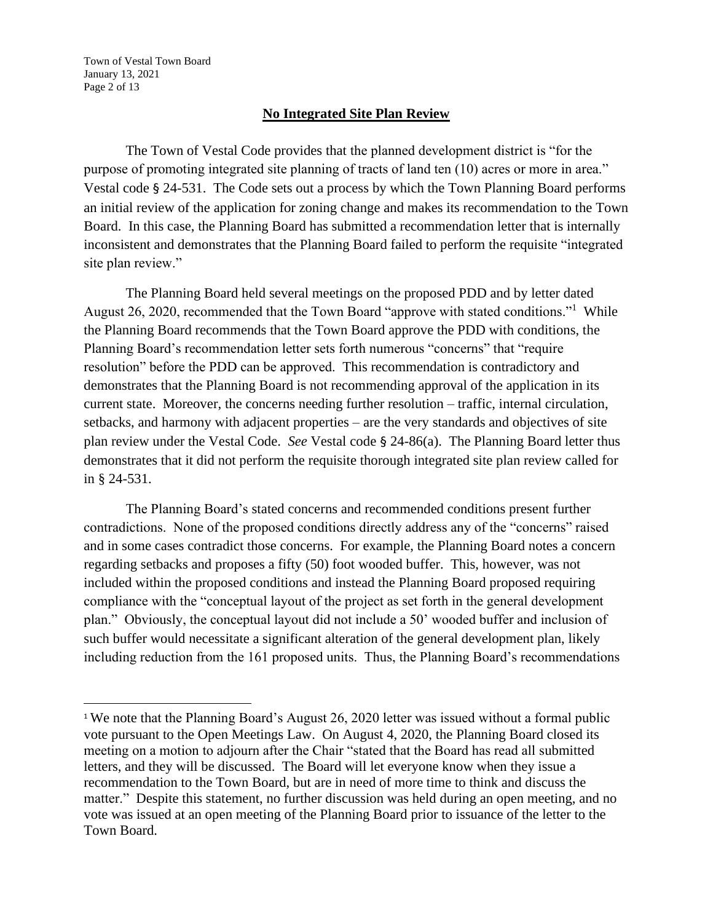Town of Vestal Town Board January 13, 2021 Page 2 of 13

### **No Integrated Site Plan Review**

The Town of Vestal Code provides that the planned development district is "for the purpose of promoting integrated site planning of tracts of land ten (10) acres or more in area." Vestal code § 24-531. The Code sets out a process by which the Town Planning Board performs an initial review of the application for zoning change and makes its recommendation to the Town Board. In this case, the Planning Board has submitted a recommendation letter that is internally inconsistent and demonstrates that the Planning Board failed to perform the requisite "integrated site plan review."

The Planning Board held several meetings on the proposed PDD and by letter dated August 26, 2020, recommended that the Town Board "approve with stated conditions."<sup>1</sup> While the Planning Board recommends that the Town Board approve the PDD with conditions, the Planning Board's recommendation letter sets forth numerous "concerns" that "require resolution" before the PDD can be approved. This recommendation is contradictory and demonstrates that the Planning Board is not recommending approval of the application in its current state. Moreover, the concerns needing further resolution – traffic, internal circulation, setbacks, and harmony with adjacent properties – are the very standards and objectives of site plan review under the Vestal Code. *See* Vestal code § 24-86(a). The Planning Board letter thus demonstrates that it did not perform the requisite thorough integrated site plan review called for in § 24-531.

The Planning Board's stated concerns and recommended conditions present further contradictions. None of the proposed conditions directly address any of the "concerns" raised and in some cases contradict those concerns. For example, the Planning Board notes a concern regarding setbacks and proposes a fifty (50) foot wooded buffer. This, however, was not included within the proposed conditions and instead the Planning Board proposed requiring compliance with the "conceptual layout of the project as set forth in the general development plan." Obviously, the conceptual layout did not include a 50' wooded buffer and inclusion of such buffer would necessitate a significant alteration of the general development plan, likely including reduction from the 161 proposed units. Thus, the Planning Board's recommendations

<sup>&</sup>lt;sup>1</sup> We note that the Planning Board's August 26, 2020 letter was issued without a formal public vote pursuant to the Open Meetings Law. On August 4, 2020, the Planning Board closed its meeting on a motion to adjourn after the Chair "stated that the Board has read all submitted letters, and they will be discussed. The Board will let everyone know when they issue a recommendation to the Town Board, but are in need of more time to think and discuss the matter." Despite this statement, no further discussion was held during an open meeting, and no vote was issued at an open meeting of the Planning Board prior to issuance of the letter to the Town Board.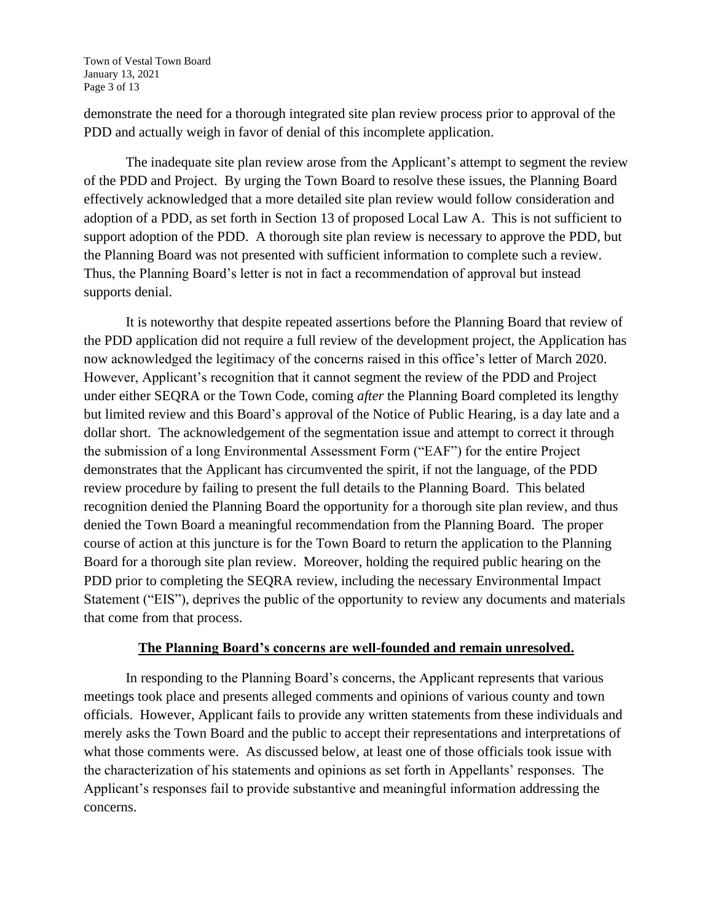Town of Vestal Town Board January 13, 2021 Page 3 of 13

demonstrate the need for a thorough integrated site plan review process prior to approval of the PDD and actually weigh in favor of denial of this incomplete application.

The inadequate site plan review arose from the Applicant's attempt to segment the review of the PDD and Project. By urging the Town Board to resolve these issues, the Planning Board effectively acknowledged that a more detailed site plan review would follow consideration and adoption of a PDD, as set forth in Section 13 of proposed Local Law A. This is not sufficient to support adoption of the PDD. A thorough site plan review is necessary to approve the PDD, but the Planning Board was not presented with sufficient information to complete such a review. Thus, the Planning Board's letter is not in fact a recommendation of approval but instead supports denial.

It is noteworthy that despite repeated assertions before the Planning Board that review of the PDD application did not require a full review of the development project, the Application has now acknowledged the legitimacy of the concerns raised in this office's letter of March 2020. However, Applicant's recognition that it cannot segment the review of the PDD and Project under either SEQRA or the Town Code, coming *after* the Planning Board completed its lengthy but limited review and this Board's approval of the Notice of Public Hearing, is a day late and a dollar short. The acknowledgement of the segmentation issue and attempt to correct it through the submission of a long Environmental Assessment Form ("EAF") for the entire Project demonstrates that the Applicant has circumvented the spirit, if not the language, of the PDD review procedure by failing to present the full details to the Planning Board. This belated recognition denied the Planning Board the opportunity for a thorough site plan review, and thus denied the Town Board a meaningful recommendation from the Planning Board. The proper course of action at this juncture is for the Town Board to return the application to the Planning Board for a thorough site plan review. Moreover, holding the required public hearing on the PDD prior to completing the SEQRA review, including the necessary Environmental Impact Statement ("EIS"), deprives the public of the opportunity to review any documents and materials that come from that process.

## **The Planning Board's concerns are well-founded and remain unresolved.**

In responding to the Planning Board's concerns, the Applicant represents that various meetings took place and presents alleged comments and opinions of various county and town officials. However, Applicant fails to provide any written statements from these individuals and merely asks the Town Board and the public to accept their representations and interpretations of what those comments were. As discussed below, at least one of those officials took issue with the characterization of his statements and opinions as set forth in Appellants' responses. The Applicant's responses fail to provide substantive and meaningful information addressing the concerns.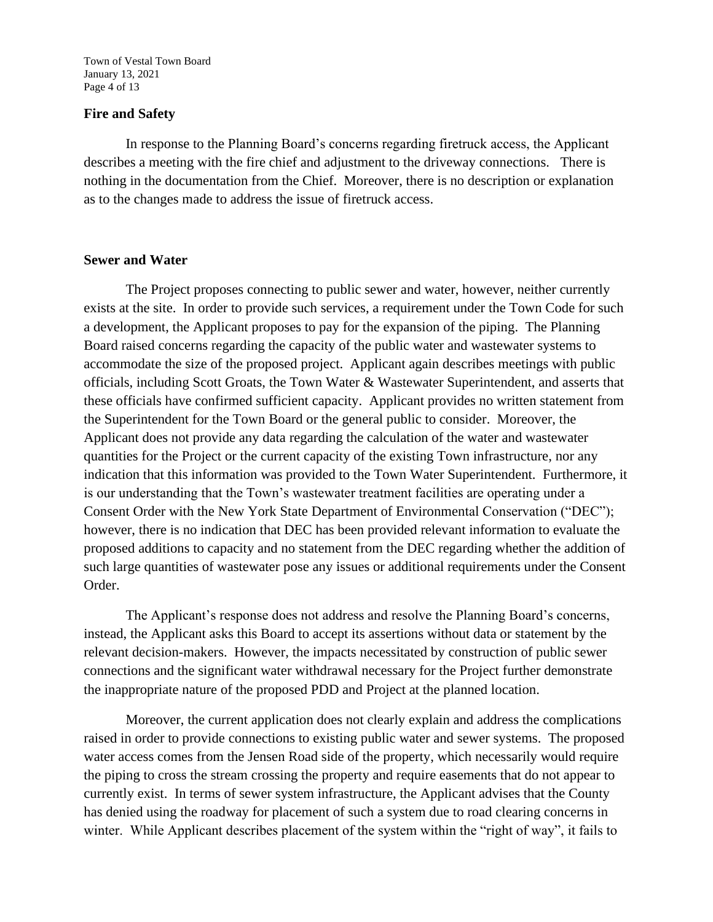Town of Vestal Town Board January 13, 2021 Page 4 of 13

### **Fire and Safety**

In response to the Planning Board's concerns regarding firetruck access, the Applicant describes a meeting with the fire chief and adjustment to the driveway connections. There is nothing in the documentation from the Chief. Moreover, there is no description or explanation as to the changes made to address the issue of firetruck access.

### **Sewer and Water**

The Project proposes connecting to public sewer and water, however, neither currently exists at the site. In order to provide such services, a requirement under the Town Code for such a development, the Applicant proposes to pay for the expansion of the piping. The Planning Board raised concerns regarding the capacity of the public water and wastewater systems to accommodate the size of the proposed project. Applicant again describes meetings with public officials, including Scott Groats, the Town Water & Wastewater Superintendent, and asserts that these officials have confirmed sufficient capacity. Applicant provides no written statement from the Superintendent for the Town Board or the general public to consider. Moreover, the Applicant does not provide any data regarding the calculation of the water and wastewater quantities for the Project or the current capacity of the existing Town infrastructure, nor any indication that this information was provided to the Town Water Superintendent. Furthermore, it is our understanding that the Town's wastewater treatment facilities are operating under a Consent Order with the New York State Department of Environmental Conservation ("DEC"); however, there is no indication that DEC has been provided relevant information to evaluate the proposed additions to capacity and no statement from the DEC regarding whether the addition of such large quantities of wastewater pose any issues or additional requirements under the Consent Order.

The Applicant's response does not address and resolve the Planning Board's concerns, instead, the Applicant asks this Board to accept its assertions without data or statement by the relevant decision-makers. However, the impacts necessitated by construction of public sewer connections and the significant water withdrawal necessary for the Project further demonstrate the inappropriate nature of the proposed PDD and Project at the planned location.

Moreover, the current application does not clearly explain and address the complications raised in order to provide connections to existing public water and sewer systems. The proposed water access comes from the Jensen Road side of the property, which necessarily would require the piping to cross the stream crossing the property and require easements that do not appear to currently exist. In terms of sewer system infrastructure, the Applicant advises that the County has denied using the roadway for placement of such a system due to road clearing concerns in winter. While Applicant describes placement of the system within the "right of way", it fails to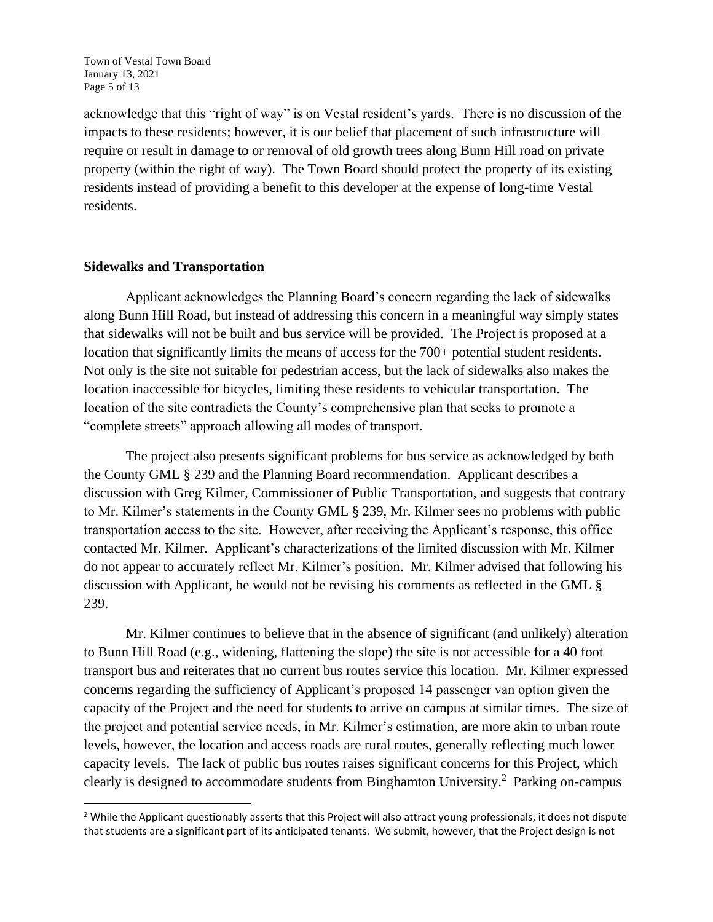Town of Vestal Town Board January 13, 2021 Page 5 of 13

acknowledge that this "right of way" is on Vestal resident's yards. There is no discussion of the impacts to these residents; however, it is our belief that placement of such infrastructure will require or result in damage to or removal of old growth trees along Bunn Hill road on private property (within the right of way). The Town Board should protect the property of its existing residents instead of providing a benefit to this developer at the expense of long-time Vestal residents.

### **Sidewalks and Transportation**

Applicant acknowledges the Planning Board's concern regarding the lack of sidewalks along Bunn Hill Road, but instead of addressing this concern in a meaningful way simply states that sidewalks will not be built and bus service will be provided. The Project is proposed at a location that significantly limits the means of access for the 700+ potential student residents. Not only is the site not suitable for pedestrian access, but the lack of sidewalks also makes the location inaccessible for bicycles, limiting these residents to vehicular transportation. The location of the site contradicts the County's comprehensive plan that seeks to promote a "complete streets" approach allowing all modes of transport.

The project also presents significant problems for bus service as acknowledged by both the County GML § 239 and the Planning Board recommendation. Applicant describes a discussion with Greg Kilmer, Commissioner of Public Transportation, and suggests that contrary to Mr. Kilmer's statements in the County GML § 239, Mr. Kilmer sees no problems with public transportation access to the site. However, after receiving the Applicant's response, this office contacted Mr. Kilmer. Applicant's characterizations of the limited discussion with Mr. Kilmer do not appear to accurately reflect Mr. Kilmer's position. Mr. Kilmer advised that following his discussion with Applicant, he would not be revising his comments as reflected in the GML § 239.

Mr. Kilmer continues to believe that in the absence of significant (and unlikely) alteration to Bunn Hill Road (e.g., widening, flattening the slope) the site is not accessible for a 40 foot transport bus and reiterates that no current bus routes service this location. Mr. Kilmer expressed concerns regarding the sufficiency of Applicant's proposed 14 passenger van option given the capacity of the Project and the need for students to arrive on campus at similar times. The size of the project and potential service needs, in Mr. Kilmer's estimation, are more akin to urban route levels, however, the location and access roads are rural routes, generally reflecting much lower capacity levels. The lack of public bus routes raises significant concerns for this Project, which clearly is designed to accommodate students from Binghamton University. $^2$  Parking on-campus

 $<sup>2</sup>$  While the Applicant questionably asserts that this Project will also attract young professionals, it does not dispute</sup> that students are a significant part of its anticipated tenants. We submit, however, that the Project design is not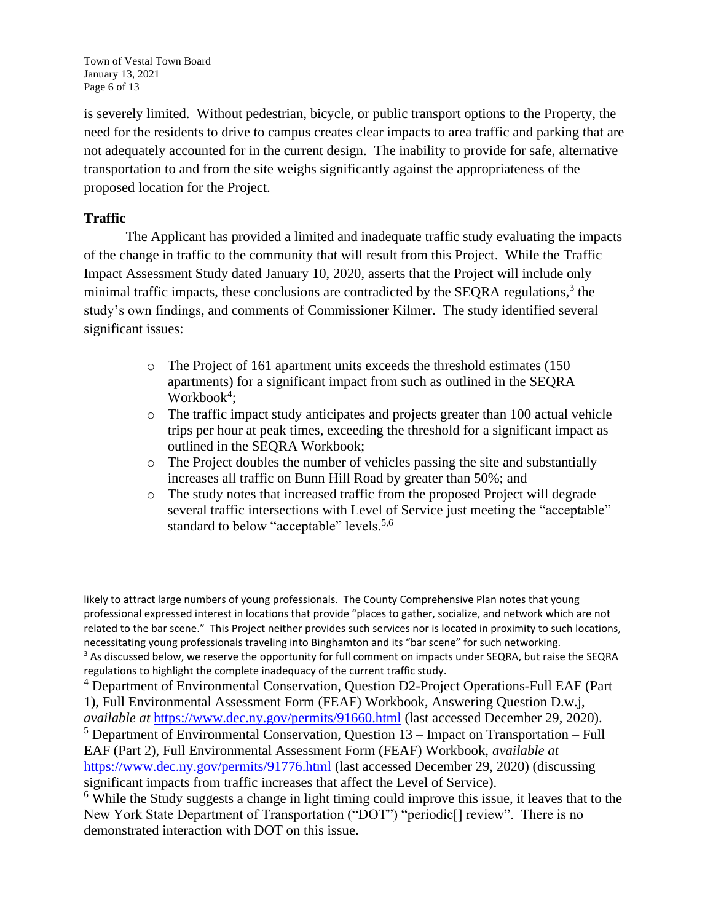Town of Vestal Town Board January 13, 2021 Page 6 of 13

is severely limited. Without pedestrian, bicycle, or public transport options to the Property, the need for the residents to drive to campus creates clear impacts to area traffic and parking that are not adequately accounted for in the current design. The inability to provide for safe, alternative transportation to and from the site weighs significantly against the appropriateness of the proposed location for the Project.

## **Traffic**

The Applicant has provided a limited and inadequate traffic study evaluating the impacts of the change in traffic to the community that will result from this Project. While the Traffic Impact Assessment Study dated January 10, 2020, asserts that the Project will include only minimal traffic impacts, these conclusions are contradicted by the SEQRA regulations,<sup>3</sup> the study's own findings, and comments of Commissioner Kilmer. The study identified several significant issues:

- o The Project of 161 apartment units exceeds the threshold estimates (150 apartments) for a significant impact from such as outlined in the SEQRA Workbook<sup>4</sup>;
- o The traffic impact study anticipates and projects greater than 100 actual vehicle trips per hour at peak times, exceeding the threshold for a significant impact as outlined in the SEQRA Workbook;
- o The Project doubles the number of vehicles passing the site and substantially increases all traffic on Bunn Hill Road by greater than 50%; and
- o The study notes that increased traffic from the proposed Project will degrade several traffic intersections with Level of Service just meeting the "acceptable" standard to below "acceptable" levels.<sup>5,6</sup>

likely to attract large numbers of young professionals. The County Comprehensive Plan notes that young professional expressed interest in locations that provide "places to gather, socialize, and network which are not related to the bar scene." This Project neither provides such services nor is located in proximity to such locations, necessitating young professionals traveling into Binghamton and its "bar scene" for such networking. <sup>3</sup> As discussed below, we reserve the opportunity for full comment on impacts under SEQRA, but raise the SEQRA regulations to highlight the complete inadequacy of the current traffic study.

<sup>4</sup> Department of Environmental Conservation, Question D2-Project Operations-Full EAF (Part 1), Full Environmental Assessment Form (FEAF) Workbook, Answering Question D.w.j,

*available at* https://www.dec.ny.gov/permits/91660.html (last accessed December 29, 2020).  $5$  Department of Environmental Conservation, Question  $13$  – Impact on Transportation – Full

EAF (Part 2), Full Environmental Assessment Form (FEAF) Workbook, *available at*  https://www.dec.ny.gov/permits/91776.html (last accessed December 29, 2020) (discussing significant impacts from traffic increases that affect the Level of Service).

 $6$  While the Study suggests a change in light timing could improve this issue, it leaves that to the New York State Department of Transportation ("DOT") "periodic[] review". There is no demonstrated interaction with DOT on this issue.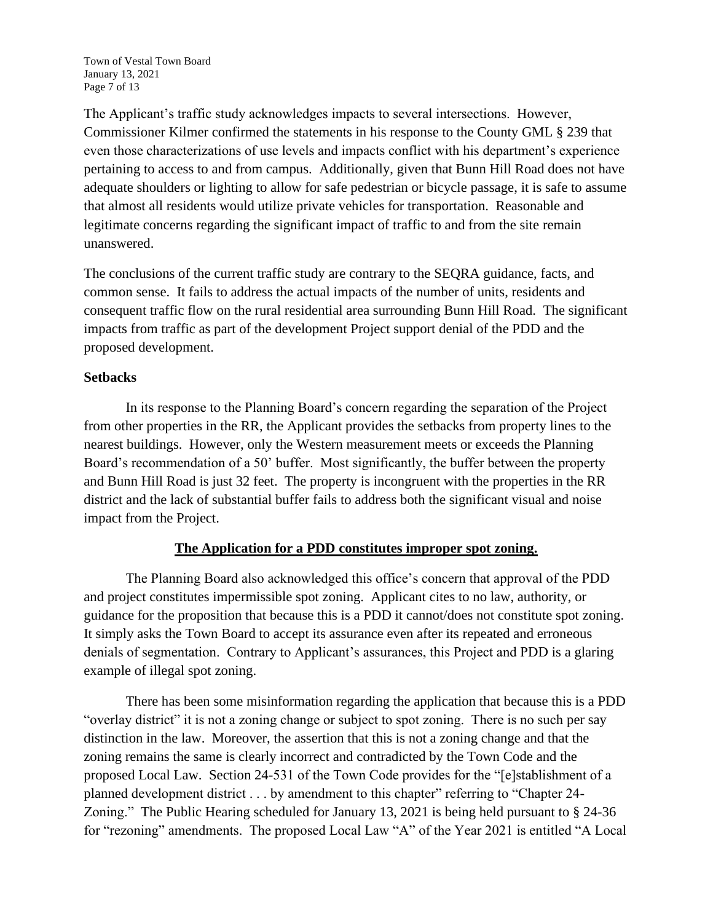Town of Vestal Town Board January 13, 2021 Page 7 of 13

The Applicant's traffic study acknowledges impacts to several intersections. However, Commissioner Kilmer confirmed the statements in his response to the County GML § 239 that even those characterizations of use levels and impacts conflict with his department's experience pertaining to access to and from campus. Additionally, given that Bunn Hill Road does not have adequate shoulders or lighting to allow for safe pedestrian or bicycle passage, it is safe to assume that almost all residents would utilize private vehicles for transportation. Reasonable and legitimate concerns regarding the significant impact of traffic to and from the site remain unanswered.

The conclusions of the current traffic study are contrary to the SEQRA guidance, facts, and common sense. It fails to address the actual impacts of the number of units, residents and consequent traffic flow on the rural residential area surrounding Bunn Hill Road. The significant impacts from traffic as part of the development Project support denial of the PDD and the proposed development.

## **Setbacks**

In its response to the Planning Board's concern regarding the separation of the Project from other properties in the RR, the Applicant provides the setbacks from property lines to the nearest buildings. However, only the Western measurement meets or exceeds the Planning Board's recommendation of a 50' buffer. Most significantly, the buffer between the property and Bunn Hill Road is just 32 feet. The property is incongruent with the properties in the RR district and the lack of substantial buffer fails to address both the significant visual and noise impact from the Project.

## **The Application for a PDD constitutes improper spot zoning.**

The Planning Board also acknowledged this office's concern that approval of the PDD and project constitutes impermissible spot zoning. Applicant cites to no law, authority, or guidance for the proposition that because this is a PDD it cannot/does not constitute spot zoning. It simply asks the Town Board to accept its assurance even after its repeated and erroneous denials of segmentation. Contrary to Applicant's assurances, this Project and PDD is a glaring example of illegal spot zoning.

There has been some misinformation regarding the application that because this is a PDD "overlay district" it is not a zoning change or subject to spot zoning. There is no such per say distinction in the law. Moreover, the assertion that this is not a zoning change and that the zoning remains the same is clearly incorrect and contradicted by the Town Code and the proposed Local Law. Section 24-531 of the Town Code provides for the "[e]stablishment of a planned development district . . . by amendment to this chapter" referring to "Chapter 24- Zoning." The Public Hearing scheduled for January 13, 2021 is being held pursuant to § 24-36 for "rezoning" amendments. The proposed Local Law "A" of the Year 2021 is entitled "A Local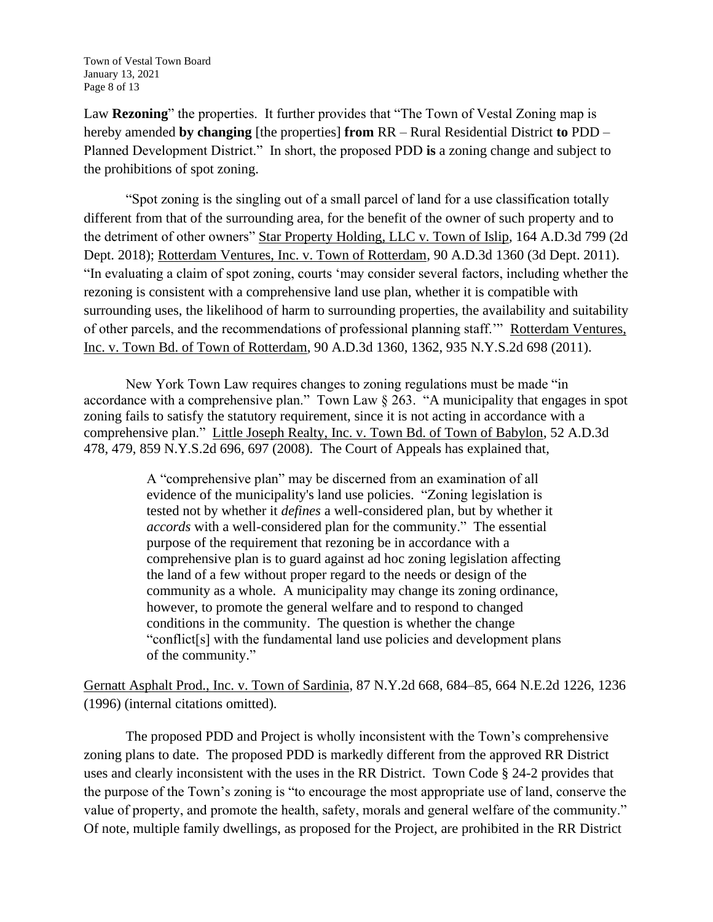Town of Vestal Town Board January 13, 2021 Page 8 of 13

Law **Rezoning**" the properties. It further provides that "The Town of Vestal Zoning map is hereby amended **by changing** [the properties] **from** RR – Rural Residential District **to** PDD – Planned Development District." In short, the proposed PDD **is** a zoning change and subject to the prohibitions of spot zoning.

"Spot zoning is the singling out of a small parcel of land for a use classification totally different from that of the surrounding area, for the benefit of the owner of such property and to the detriment of other owners" Star Property Holding, LLC v. Town of Islip*,* 164 A.D.3d 799 (2d Dept. 2018); Rotterdam Ventures, Inc. v. Town of Rotterdam*,* 90 A.D.3d 1360 (3d Dept. 2011). "In evaluating a claim of spot zoning, courts 'may consider several factors, including whether the rezoning is consistent with a comprehensive land use plan, whether it is compatible with surrounding uses, the likelihood of harm to surrounding properties, the availability and suitability of other parcels, and the recommendations of professional planning staff.'" Rotterdam Ventures, Inc. v. Town Bd. of Town of Rotterdam, 90 A.D.3d 1360, 1362, 935 N.Y.S.2d 698 (2011).

New York Town Law requires changes to zoning regulations must be made "in accordance with a comprehensive plan." Town Law § 263. "A municipality that engages in spot zoning fails to satisfy the statutory requirement, since it is not acting in accordance with a comprehensive plan." Little Joseph Realty, Inc. v. Town Bd. of Town of Babylon, 52 A.D.3d 478, 479, 859 N.Y.S.2d 696, 697 (2008). The Court of Appeals has explained that,

> A "comprehensive plan" may be discerned from an examination of all evidence of the municipality's land use policies. "Zoning legislation is tested not by whether it *defines* a well-considered plan, but by whether it *accords* with a well-considered plan for the community." The essential purpose of the requirement that rezoning be in accordance with a comprehensive plan is to guard against ad hoc zoning legislation affecting the land of a few without proper regard to the needs or design of the community as a whole. A municipality may change its zoning ordinance, however, to promote the general welfare and to respond to changed conditions in the community. The question is whether the change "conflict[s] with the fundamental land use policies and development plans of the community."

Gernatt Asphalt Prod., Inc. v. Town of Sardinia, 87 N.Y.2d 668, 684–85, 664 N.E.2d 1226, 1236 (1996) (internal citations omitted).

The proposed PDD and Project is wholly inconsistent with the Town's comprehensive zoning plans to date. The proposed PDD is markedly different from the approved RR District uses and clearly inconsistent with the uses in the RR District. Town Code § 24-2 provides that the purpose of the Town's zoning is "to encourage the most appropriate use of land, conserve the value of property, and promote the health, safety, morals and general welfare of the community." Of note, multiple family dwellings, as proposed for the Project, are prohibited in the RR District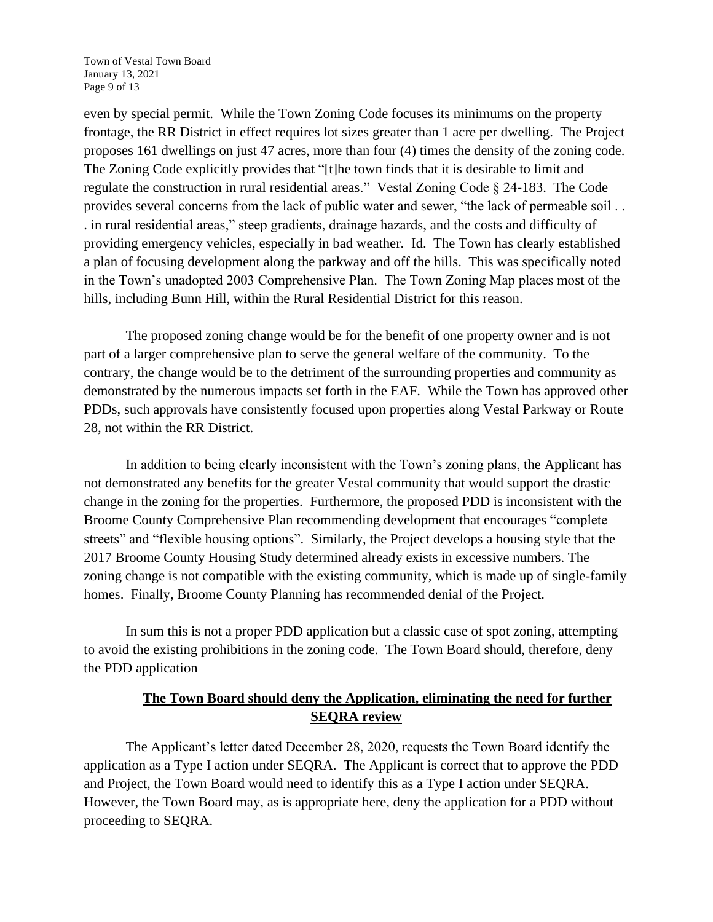Town of Vestal Town Board January 13, 2021 Page 9 of 13

even by special permit. While the Town Zoning Code focuses its minimums on the property frontage, the RR District in effect requires lot sizes greater than 1 acre per dwelling. The Project proposes 161 dwellings on just 47 acres, more than four (4) times the density of the zoning code. The Zoning Code explicitly provides that "[t]he town finds that it is desirable to limit and regulate the construction in rural residential areas." Vestal Zoning Code § 24-183. The Code provides several concerns from the lack of public water and sewer, "the lack of permeable soil . . . in rural residential areas," steep gradients, drainage hazards, and the costs and difficulty of providing emergency vehicles, especially in bad weather. Id. The Town has clearly established a plan of focusing development along the parkway and off the hills. This was specifically noted in the Town's unadopted 2003 Comprehensive Plan. The Town Zoning Map places most of the hills, including Bunn Hill, within the Rural Residential District for this reason.

The proposed zoning change would be for the benefit of one property owner and is not part of a larger comprehensive plan to serve the general welfare of the community. To the contrary, the change would be to the detriment of the surrounding properties and community as demonstrated by the numerous impacts set forth in the EAF. While the Town has approved other PDDs, such approvals have consistently focused upon properties along Vestal Parkway or Route 28, not within the RR District.

In addition to being clearly inconsistent with the Town's zoning plans, the Applicant has not demonstrated any benefits for the greater Vestal community that would support the drastic change in the zoning for the properties. Furthermore, the proposed PDD is inconsistent with the Broome County Comprehensive Plan recommending development that encourages "complete streets" and "flexible housing options". Similarly, the Project develops a housing style that the 2017 Broome County Housing Study determined already exists in excessive numbers. The zoning change is not compatible with the existing community, which is made up of single-family homes. Finally, Broome County Planning has recommended denial of the Project.

In sum this is not a proper PDD application but a classic case of spot zoning, attempting to avoid the existing prohibitions in the zoning code. The Town Board should, therefore, deny the PDD application

# **The Town Board should deny the Application, eliminating the need for further SEQRA review**

The Applicant's letter dated December 28, 2020, requests the Town Board identify the application as a Type I action under SEQRA. The Applicant is correct that to approve the PDD and Project, the Town Board would need to identify this as a Type I action under SEQRA. However, the Town Board may, as is appropriate here, deny the application for a PDD without proceeding to SEQRA.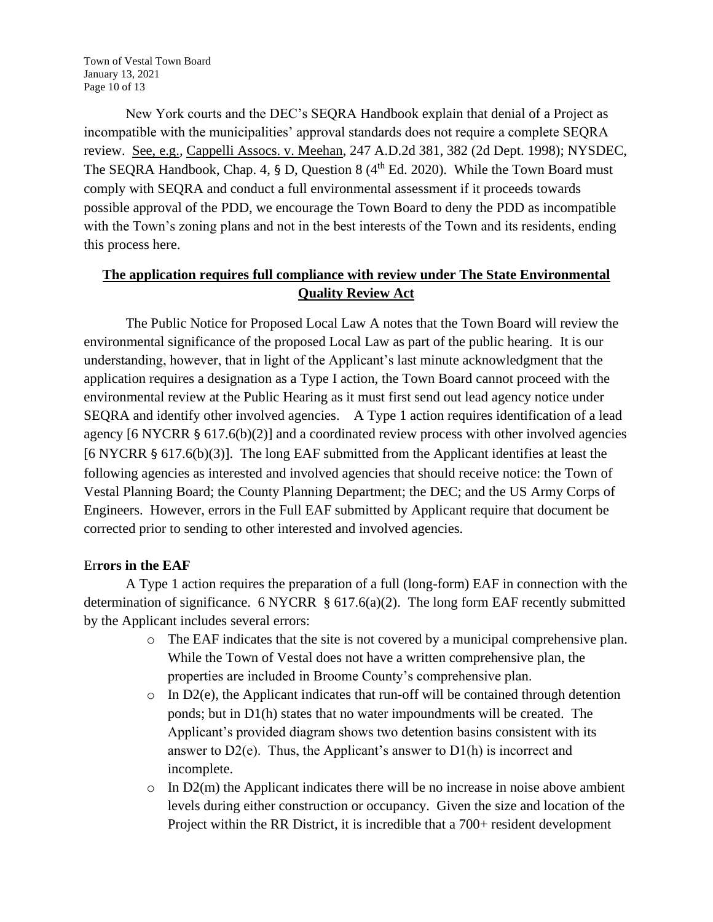Town of Vestal Town Board January 13, 2021 Page 10 of 13

New York courts and the DEC's SEQRA Handbook explain that denial of a Project as incompatible with the municipalities' approval standards does not require a complete SEQRA review. See, e.g.*,* Cappelli Assocs. v. Meehan, 247 A.D.2d 381, 382 (2d Dept. 1998); NYSDEC, The SEQRA Handbook, Chap. 4, § D, Question 8  $(4<sup>th</sup> Ed. 2020)$ . While the Town Board must comply with SEQRA and conduct a full environmental assessment if it proceeds towards possible approval of the PDD, we encourage the Town Board to deny the PDD as incompatible with the Town's zoning plans and not in the best interests of the Town and its residents, ending this process here.

# **The application requires full compliance with review under The State Environmental Quality Review Act**

The Public Notice for Proposed Local Law A notes that the Town Board will review the environmental significance of the proposed Local Law as part of the public hearing. It is our understanding, however, that in light of the Applicant's last minute acknowledgment that the application requires a designation as a Type I action, the Town Board cannot proceed with the environmental review at the Public Hearing as it must first send out lead agency notice under SEQRA and identify other involved agencies. A Type 1 action requires identification of a lead agency [6 NYCRR § 617.6(b)(2)] and a coordinated review process with other involved agencies [6 NYCRR § 617.6(b)(3)]. The long EAF submitted from the Applicant identifies at least the following agencies as interested and involved agencies that should receive notice: the Town of Vestal Planning Board; the County Planning Department; the DEC; and the US Army Corps of Engineers. However, errors in the Full EAF submitted by Applicant require that document be corrected prior to sending to other interested and involved agencies.

## Er**rors in the EAF**

A Type 1 action requires the preparation of a full (long-form) EAF in connection with the determination of significance. 6 NYCRR  $\S$  617.6(a)(2). The long form EAF recently submitted by the Applicant includes several errors:

- o The EAF indicates that the site is not covered by a municipal comprehensive plan. While the Town of Vestal does not have a written comprehensive plan, the properties are included in Broome County's comprehensive plan.
- $\circ$  In D2(e), the Applicant indicates that run-off will be contained through detention ponds; but in D1(h) states that no water impoundments will be created. The Applicant's provided diagram shows two detention basins consistent with its answer to  $D2(e)$ . Thus, the Applicant's answer to  $D1(h)$  is incorrect and incomplete.
- $\circ$  In D2(m) the Applicant indicates there will be no increase in noise above ambient levels during either construction or occupancy. Given the size and location of the Project within the RR District, it is incredible that a 700+ resident development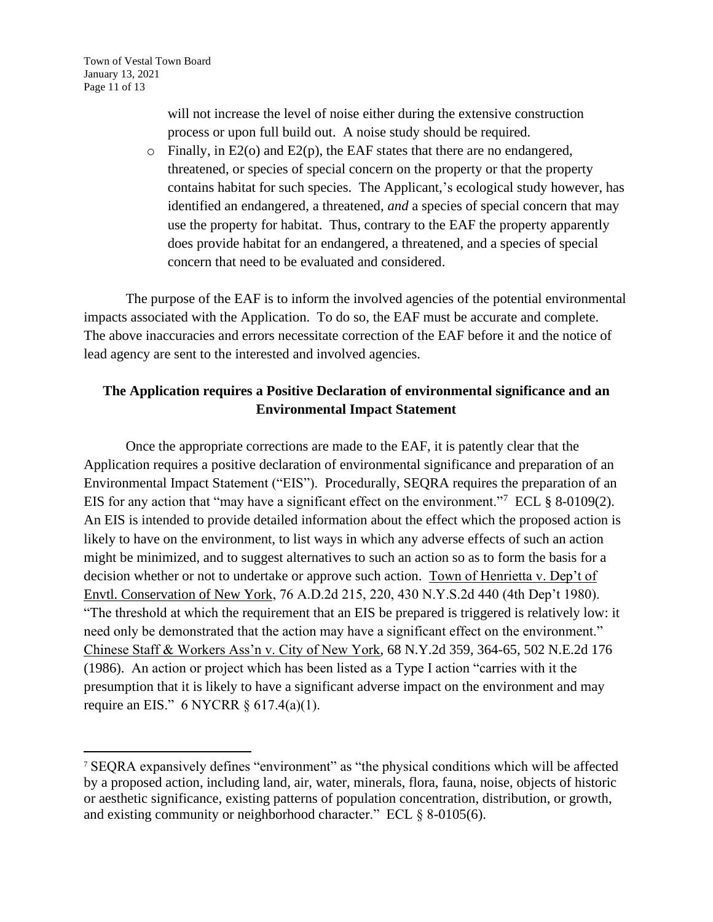Town of Vestal Town Board January 13, 2021 Page 11 of 13

> will not increase the level of noise either during the extensive construction process or upon full build out. A noise study should be required.

o Finally, in E2(o) and E2(p), the EAF states that there are no endangered, threatened, or species of special concern on the property or that the property contains habitat for such species. The Applicant,'s ecological study however, has identified an endangered, a threatened, *and* a species of special concern that may use the property for habitat. Thus, contrary to the EAF the property apparently does provide habitat for an endangered, a threatened, and a species of special concern that need to be evaluated and considered.

The purpose of the EAF is to inform the involved agencies of the potential environmental impacts associated with the Application. To do so, the EAF must be accurate and complete. The above inaccuracies and errors necessitate correction of the EAF before it and the notice of lead agency are sent to the interested and involved agencies.

# **The Application requires a Positive Declaration of environmental significance and an Environmental Impact Statement**

Once the appropriate corrections are made to the EAF, it is patently clear that the Application requires a positive declaration of environmental significance and preparation of an Environmental Impact Statement ("EIS"). Procedurally, SEQRA requires the preparation of an EIS for any action that "may have a significant effect on the environment."<sup>7</sup> ECL  $\S$  8-0109(2). An EIS is intended to provide detailed information about the effect which the proposed action is likely to have on the environment, to list ways in which any adverse effects of such an action might be minimized, and to suggest alternatives to such an action so as to form the basis for a decision whether or not to undertake or approve such action. Town of Henrietta v. Dep't of Envtl. Conservation of New York, 76 A.D.2d 215, 220, 430 N.Y.S.2d 440 (4th Dep't 1980). "The threshold at which the requirement that an EIS be prepared is triggered is relatively low: it need only be demonstrated that the action may have a significant effect on the environment." Chinese Staff & Workers Ass'n v. City of New York, 68 N.Y.2d 359, 364-65, 502 N.E.2d 176 (1986). An action or project which has been listed as a Type I action "carries with it the presumption that it is likely to have a significant adverse impact on the environment and may require an EIS." 6 NYCRR § 617.4(a)(1).

<sup>7</sup> SEQRA expansively defines "environment" as "the physical conditions which will be affected by a proposed action, including land, air, water, minerals, flora, fauna, noise, objects of historic or aesthetic significance, existing patterns of population concentration, distribution, or growth, and existing community or neighborhood character." ECL § 8-0105(6).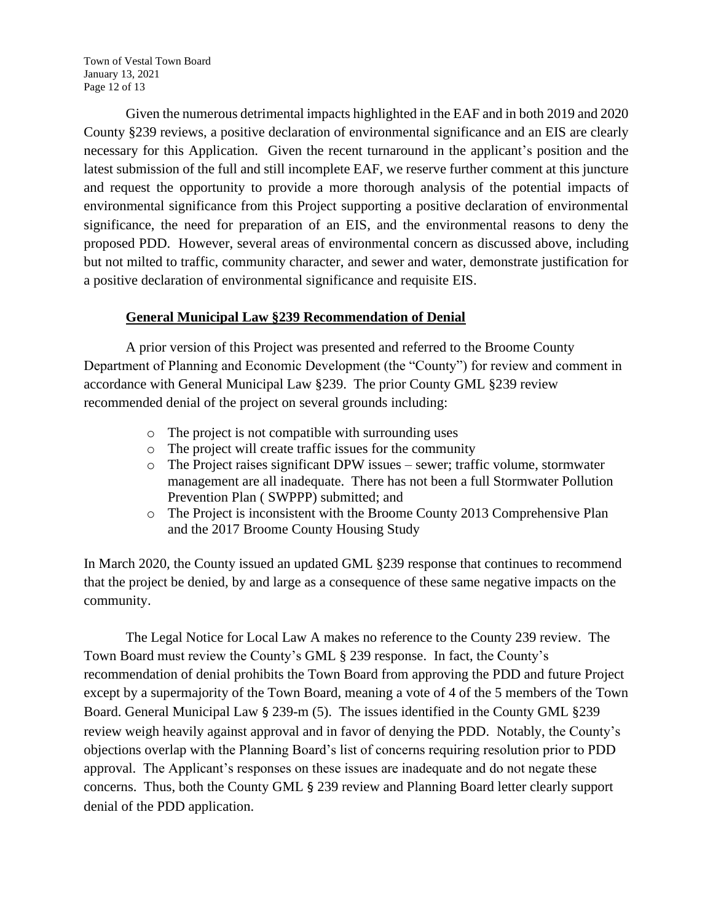Town of Vestal Town Board January 13, 2021 Page 12 of 13

Given the numerous detrimental impacts highlighted in the EAF and in both 2019 and 2020 County §239 reviews, a positive declaration of environmental significance and an EIS are clearly necessary for this Application. Given the recent turnaround in the applicant's position and the latest submission of the full and still incomplete EAF, we reserve further comment at this juncture and request the opportunity to provide a more thorough analysis of the potential impacts of environmental significance from this Project supporting a positive declaration of environmental significance, the need for preparation of an EIS, and the environmental reasons to deny the proposed PDD. However, several areas of environmental concern as discussed above, including but not milted to traffic, community character, and sewer and water, demonstrate justification for a positive declaration of environmental significance and requisite EIS.

## **General Municipal Law §239 Recommendation of Denial**

A prior version of this Project was presented and referred to the Broome County Department of Planning and Economic Development (the "County") for review and comment in accordance with General Municipal Law §239. The prior County GML §239 review recommended denial of the project on several grounds including:

- o The project is not compatible with surrounding uses
- o The project will create traffic issues for the community
- $\circ$  The Project raises significant DPW issues sewer; traffic volume, stormwater management are all inadequate. There has not been a full Stormwater Pollution Prevention Plan ( SWPPP) submitted; and
- o The Project is inconsistent with the Broome County 2013 Comprehensive Plan and the 2017 Broome County Housing Study

In March 2020, the County issued an updated GML §239 response that continues to recommend that the project be denied, by and large as a consequence of these same negative impacts on the community.

The Legal Notice for Local Law A makes no reference to the County 239 review. The Town Board must review the County's GML § 239 response. In fact, the County's recommendation of denial prohibits the Town Board from approving the PDD and future Project except by a supermajority of the Town Board, meaning a vote of 4 of the 5 members of the Town Board. General Municipal Law § 239-m (5). The issues identified in the County GML §239 review weigh heavily against approval and in favor of denying the PDD. Notably, the County's objections overlap with the Planning Board's list of concerns requiring resolution prior to PDD approval. The Applicant's responses on these issues are inadequate and do not negate these concerns. Thus, both the County GML § 239 review and Planning Board letter clearly support denial of the PDD application.